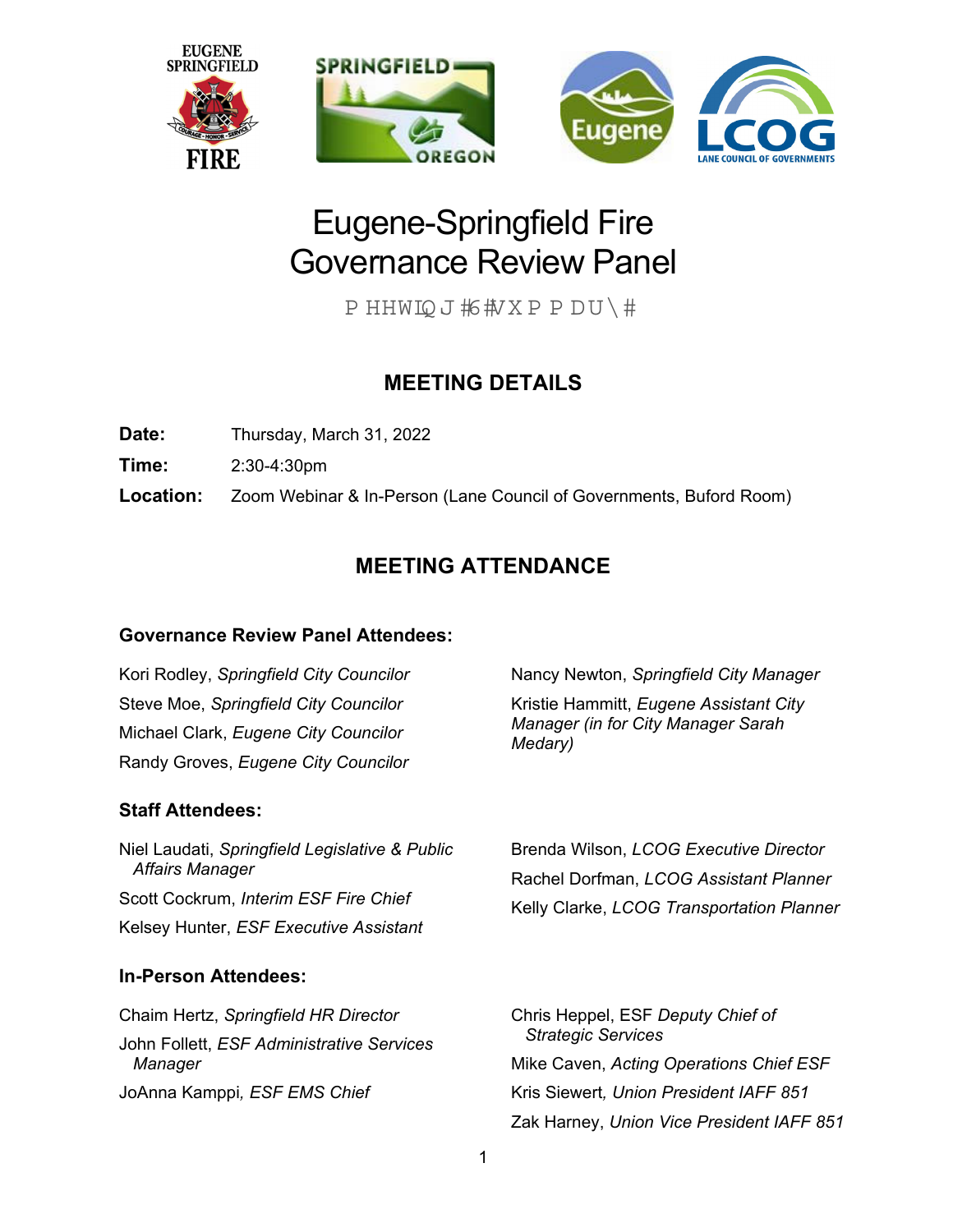

# Eugene-Springfield Fire Governance Review Panel

P HHWIQ J 彬执X P P D U \ #

# **MEETING DETAILS**

**Date:** Thursday, March 31, 2022

**Time:** 2:30-4:30pm

**Location:** Zoom Webinar & In-Person (Lane Council of Governments, Buford Room)

# **MEETING ATTENDANCE**

# **Governance Review Panel Attendees:**

Kori Rodley, *Springfield City Councilor* Steve Moe, *Springfield City Councilor* Michael Clark, *Eugene City Councilor* Randy Groves, *Eugene City Councilor* 

# **Staff Attendees:**

Niel Laudati, *Springfield Legislative & Public Affairs Manager* Scott Cockrum, *Interim ESF Fire Chief*  Kelsey Hunter, *ESF Executive Assistant* 

# **In-Person Attendees:**

Chaim Hertz, *Springfield HR Director*  John Follett, *ESF Administrative Services Manager*  JoAnna Kamppi*, ESF EMS Chief* 

Nancy Newton, *Springfield City Manager* Kristie Hammitt, *Eugene Assistant City Manager (in for City Manager Sarah Medary)*

Brenda Wilson, *LCOG Executive Director*  Rachel Dorfman, *LCOG Assistant Planner*  Kelly Clarke, *LCOG Transportation Planner*

Chris Heppel, ESF *Deputy Chief of Strategic Services*  Mike Caven, *Acting Operations Chief ESF*  Kris Siewert*, Union President IAFF 851*  Zak Harney, *Union Vice President IAFF 851*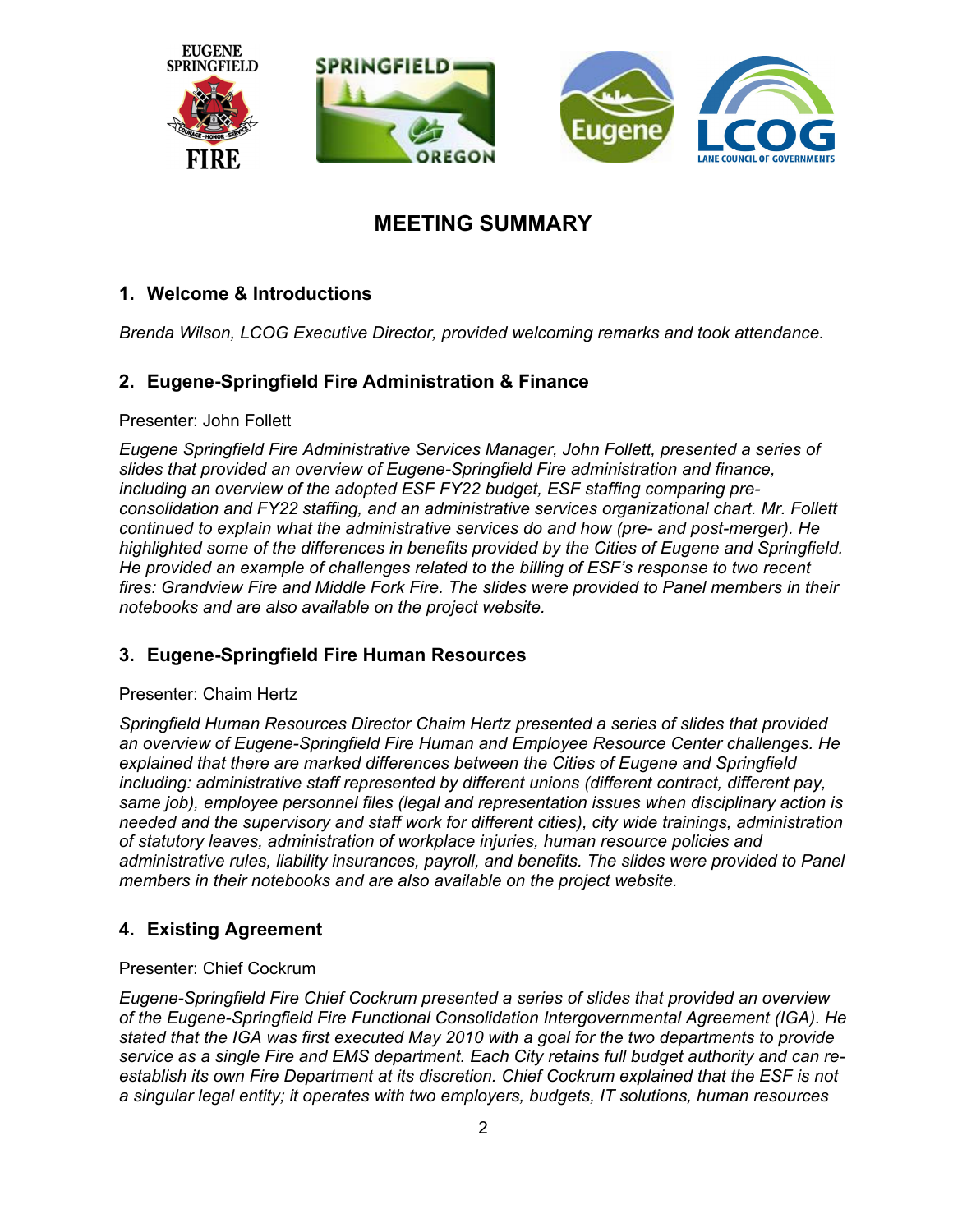

# **MEETING SUMMARY**

# **1. Welcome & Introductions**

*Brenda Wilson, LCOG Executive Director, provided welcoming remarks and took attendance.* 

## **2. Eugene-Springfield Fire Administration & Finance**

#### Presenter: John Follett

*Eugene Springfield Fire Administrative Services Manager, John Follett, presented a series of slides that provided an overview of Eugene-Springfield Fire administration and finance, including an overview of the adopted ESF FY22 budget, ESF staffing comparing preconsolidation and FY22 staffing, and an administrative services organizational chart. Mr. Follett continued to explain what the administrative services do and how (pre- and post-merger). He highlighted some of the differences in benefits provided by the Cities of Eugene and Springfield. He provided an example of challenges related to the billing of ESF's response to two recent fires: Grandview Fire and Middle Fork Fire. The slides were provided to Panel members in their notebooks and are also available on the project website.* 

## **3. Eugene-Springfield Fire Human Resources**

#### Presenter: Chaim Hertz

*Springfield Human Resources Director Chaim Hertz presented a series of slides that provided an overview of Eugene-Springfield Fire Human and Employee Resource Center challenges. He explained that there are marked differences between the Cities of Eugene and Springfield including: administrative staff represented by different unions (different contract, different pay, same job), employee personnel files (legal and representation issues when disciplinary action is needed and the supervisory and staff work for different cities), city wide trainings, administration of statutory leaves, administration of workplace injuries, human resource policies and administrative rules, liability insurances, payroll, and benefits. The slides were provided to Panel members in their notebooks and are also available on the project website.* 

## **4. Existing Agreement**

#### Presenter: Chief Cockrum

*Eugene-Springfield Fire Chief Cockrum presented a series of slides that provided an overview of the Eugene-Springfield Fire Functional Consolidation Intergovernmental Agreement (IGA). He stated that the IGA was first executed May 2010 with a goal for the two departments to provide service as a single Fire and EMS department. Each City retains full budget authority and can reestablish its own Fire Department at its discretion. Chief Cockrum explained that the ESF is not a singular legal entity; it operates with two employers, budgets, IT solutions, human resources*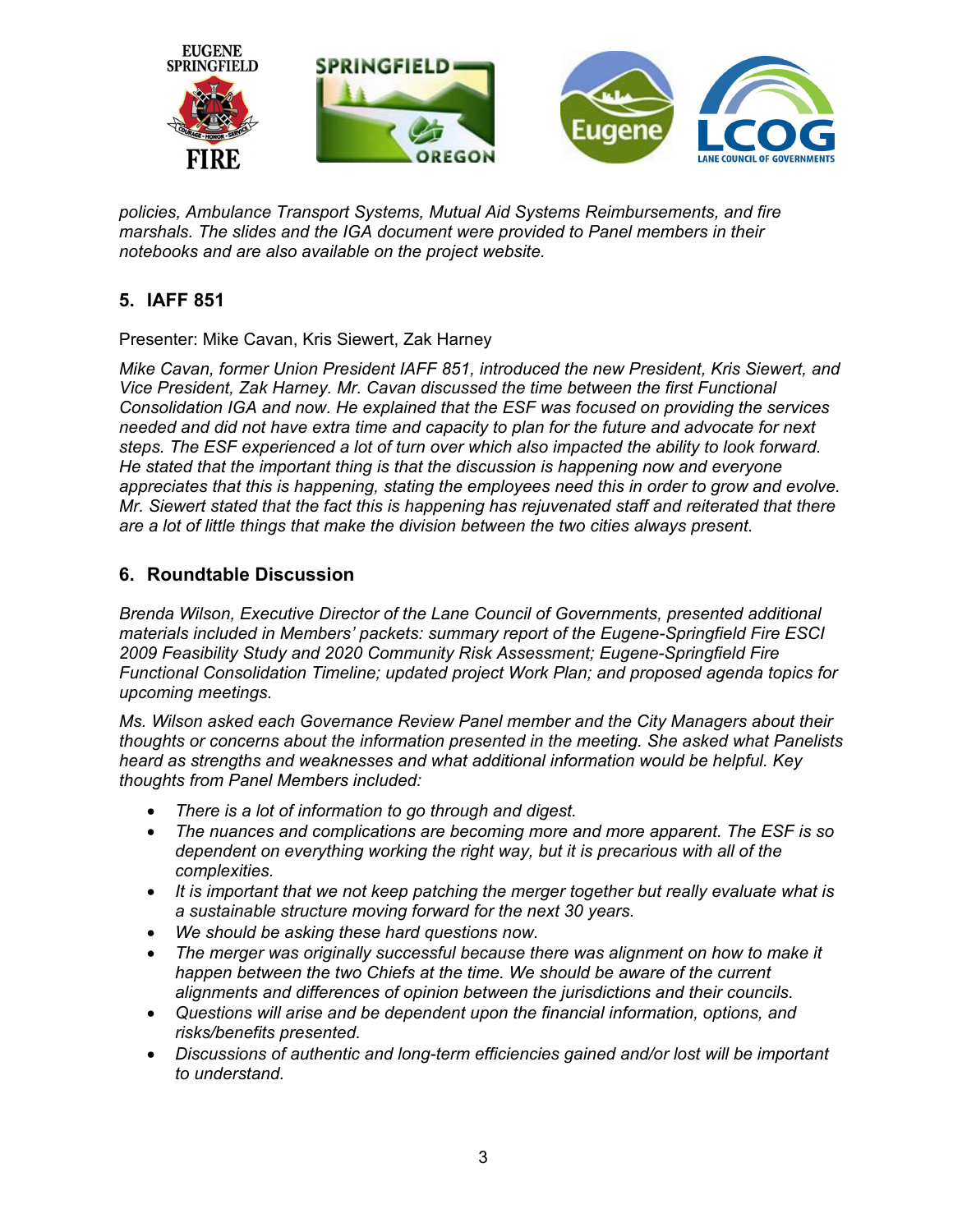

*policies, Ambulance Transport Systems, Mutual Aid Systems Reimbursements, and fire marshals. The slides and the IGA document were provided to Panel members in their notebooks and are also available on the project website.* 

# **5. IAFF 851**

Presenter: Mike Cavan, Kris Siewert, Zak Harney

*Mike Cavan, former Union President IAFF 851, introduced the new President, Kris Siewert, and Vice President, Zak Harney. Mr. Cavan discussed the time between the first Functional Consolidation IGA and now. He explained that the ESF was focused on providing the services needed and did not have extra time and capacity to plan for the future and advocate for next steps. The ESF experienced a lot of turn over which also impacted the ability to look forward. He stated that the important thing is that the discussion is happening now and everyone appreciates that this is happening, stating the employees need this in order to grow and evolve. Mr. Siewert stated that the fact this is happening has rejuvenated staff and reiterated that there are a lot of little things that make the division between the two cities always present.* 

## **6. Roundtable Discussion**

*Brenda Wilson, Executive Director of the Lane Council of Governments, presented additional materials included in Members' packets: summary report of the Eugene-Springfield Fire ESCI 2009 Feasibility Study and 2020 Community Risk Assessment; Eugene-Springfield Fire Functional Consolidation Timeline; updated project Work Plan; and proposed agenda topics for upcoming meetings.* 

*Ms. Wilson asked each Governance Review Panel member and the City Managers about their thoughts or concerns about the information presented in the meeting. She asked what Panelists heard as strengths and weaknesses and what additional information would be helpful. Key thoughts from Panel Members included:* 

- *There is a lot of information to go through and digest.*
- *The nuances and complications are becoming more and more apparent. The ESF is so dependent on everything working the right way, but it is precarious with all of the complexities.*
- *It is important that we not keep patching the merger together but really evaluate what is a sustainable structure moving forward for the next 30 years.*
- *We should be asking these hard questions now.*
- *The merger was originally successful because there was alignment on how to make it happen between the two Chiefs at the time. We should be aware of the current alignments and differences of opinion between the jurisdictions and their councils.*
- *Questions will arise and be dependent upon the financial information, options, and risks/benefits presented.*
- *Discussions of authentic and long-term efficiencies gained and/or lost will be important to understand.*